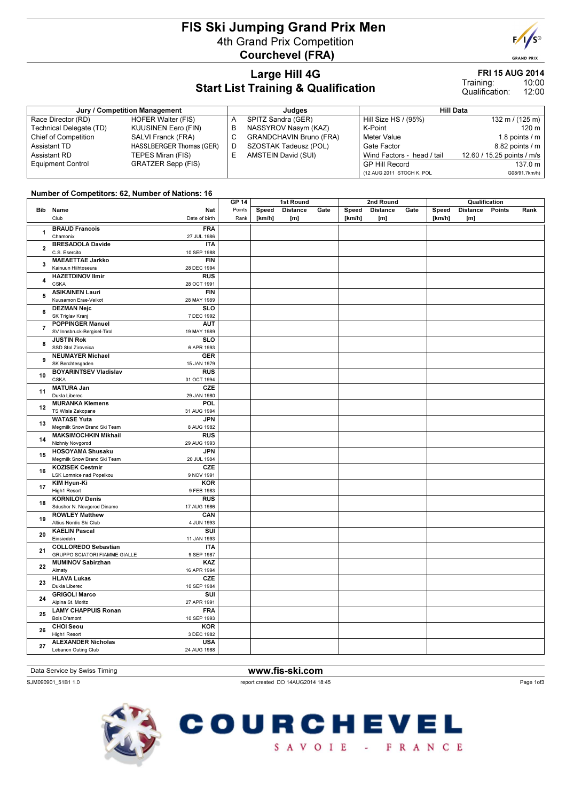## FIS Ski Jumping Grand Prix Men 4th Grand Prix Competition Courchevel (FRA)



**GRAND PRI** 

#### Large Hill 4G Start List Training & Qualification

#### FRI 15 AUG 2014

10:00 12:00 Training: Qualification:

| Jury / Competition Management |                            |   | Judaes                         | Hill Data                  |                            |  |  |
|-------------------------------|----------------------------|---|--------------------------------|----------------------------|----------------------------|--|--|
| Race Director (RD)            | <b>HOFER Walter (FIS)</b>  |   | SPITZ Sandra (GER)             | Hill Size HS / (95%)       | 132 m / $(125 m)$          |  |  |
| Technical Delegate (TD)       | <b>KUUSINEN Eero (FIN)</b> | В | NASSYROV Nasym (KAZ)           | K-Point                    | 120 <sub>m</sub>           |  |  |
| <b>Chief of Competition</b>   | SALVI Franck (FRA)         |   | <b>GRANDCHAVIN Bruno (FRA)</b> | <b>Meter Value</b>         | 1.8 points / m             |  |  |
| Assistant TD                  | HASSLBERGER Thomas (GER)   | D | SZOSTAK Tadeusz (POL)          | Gate Factor                | 8.82 points / m            |  |  |
| Assistant RD                  | TEPES Miran (FIS)          |   | AMSTEIN David (SUI)            | Wind Factors - head / tail | 12.60 / 15.25 points / m/s |  |  |
| <b>Equipment Control</b>      | <b>GRATZER Sepp (FIS)</b>  |   |                                | <b>GP Hill Record</b>      | 137.0 m                    |  |  |
|                               |                            |   |                                | (12 AUG 2011 STOCH K. POL  | G08/91.7km/h)              |  |  |

#### Number of Competitors: 62, Number of Nations: 16

|                         |                                                     |                          | <b>GP 14</b>   | 1st Round       |                        |      |                 | 2nd Round              |      | Qualification   |                        |        |      |
|-------------------------|-----------------------------------------------------|--------------------------|----------------|-----------------|------------------------|------|-----------------|------------------------|------|-----------------|------------------------|--------|------|
|                         | Bib Name<br>Club                                    | Nat<br>Date of birth     | Points<br>Rank | Speed<br>[km/h] | <b>Distance</b><br>[m] | Gate | Speed<br>[km/h] | <b>Distance</b><br>[m] | Gate | Speed<br>[km/h] | <b>Distance</b><br>[m] | Points | Rank |
| $\mathbf{1}$            | <b>BRAUD Francois</b>                               | <b>FRA</b>               |                |                 |                        |      |                 |                        |      |                 |                        |        |      |
|                         | Chamonix                                            | 27 JUL 1986              |                |                 |                        |      |                 |                        |      |                 |                        |        |      |
| $\mathbf{2}$            | <b>BRESADOLA Davide</b>                             | <b>ITA</b>               |                |                 |                        |      |                 |                        |      |                 |                        |        |      |
|                         | C.S. Esercito                                       | 10 SEP 1988              |                |                 |                        |      |                 |                        |      |                 |                        |        |      |
| 3                       | <b>MAEAETTAE Jarkko</b>                             | FIN                      |                |                 |                        |      |                 |                        |      |                 |                        |        |      |
|                         | Kainuun Hiihtoseura                                 | 28 DEC 1994              |                |                 |                        |      |                 |                        |      |                 |                        |        |      |
| $\overline{\mathbf{4}}$ | <b>HAZETDINOV Ilmir</b>                             | <b>RUS</b>               |                |                 |                        |      |                 |                        |      |                 |                        |        |      |
|                         | <b>CSKA</b>                                         | 28 OCT 1991              |                |                 |                        |      |                 |                        |      |                 |                        |        |      |
| 5                       | <b>ASIKAINEN Lauri</b>                              | <b>FIN</b>               |                |                 |                        |      |                 |                        |      |                 |                        |        |      |
|                         | Kuusamon Erae-Veikot                                | 28 MAY 1989              |                |                 |                        |      |                 |                        |      |                 |                        |        |      |
| 6                       | <b>DEZMAN Nejc</b>                                  | <b>SLO</b>               |                |                 |                        |      |                 |                        |      |                 |                        |        |      |
|                         | SK Triglav Kranj                                    | 7 DEC 1992               |                |                 |                        |      |                 |                        |      |                 |                        |        |      |
| $\overline{\mathbf{r}}$ | <b>POPPINGER Manuel</b>                             | <b>AUT</b>               |                |                 |                        |      |                 |                        |      |                 |                        |        |      |
|                         | SV Innsbruck-Bergisel-Tirol                         | 19 MAY 1989              |                |                 |                        |      |                 |                        |      |                 |                        |        |      |
| 8                       | <b>JUSTIN Rok</b><br>SSD Stol Zirovnica             | <b>SLO</b><br>6 APR 1993 |                |                 |                        |      |                 |                        |      |                 |                        |        |      |
|                         | <b>NEUMAYER Michael</b>                             | <b>GER</b>               |                |                 |                        |      |                 |                        |      |                 |                        |        |      |
| 9                       | SK Berchtesgaden                                    | 15 JAN 1979              |                |                 |                        |      |                 |                        |      |                 |                        |        |      |
|                         | <b>BOYARINTSEV Vladislav</b>                        | RUS                      |                |                 |                        |      |                 |                        |      |                 |                        |        |      |
| 10                      | <b>CSKA</b>                                         | 31 OCT 1994              |                |                 |                        |      |                 |                        |      |                 |                        |        |      |
|                         | <b>MATURA Jan</b>                                   | CZE                      |                |                 |                        |      |                 |                        |      |                 |                        |        |      |
| 11                      | Dukla Liberec                                       | 29 JAN 1980              |                |                 |                        |      |                 |                        |      |                 |                        |        |      |
|                         | <b>MURANKA Klemens</b>                              | POL                      |                |                 |                        |      |                 |                        |      |                 |                        |        |      |
| 12                      | TS Wisla Zakopane                                   | 31 AUG 1994              |                |                 |                        |      |                 |                        |      |                 |                        |        |      |
|                         | <b>WATASE Yuta</b>                                  | <b>JPN</b>               |                |                 |                        |      |                 |                        |      |                 |                        |        |      |
| 13                      | Megmilk Snow Brand Ski Team                         | 8 AUG 1982               |                |                 |                        |      |                 |                        |      |                 |                        |        |      |
| 14                      | <b>MAKSIMOCHKIN Mikhail</b>                         | <b>RUS</b>               |                |                 |                        |      |                 |                        |      |                 |                        |        |      |
|                         | Nizhniy Novgorod                                    | 29 AUG 1993              |                |                 |                        |      |                 |                        |      |                 |                        |        |      |
| 15                      | <b>HOSOYAMA Shusaku</b>                             | <b>JPN</b>               |                |                 |                        |      |                 |                        |      |                 |                        |        |      |
|                         | Megmilk Snow Brand Ski Team                         | 20 JUL 1984              |                |                 |                        |      |                 |                        |      |                 |                        |        |      |
| 16                      | <b>KOZISEK Cestmir</b>                              | CZE                      |                |                 |                        |      |                 |                        |      |                 |                        |        |      |
|                         | LSK Lomnice nad Popelkou                            | 9 NOV 1991               |                |                 |                        |      |                 |                        |      |                 |                        |        |      |
| 17                      | <b>KIM Hyun-Ki</b>                                  | <b>KOR</b>               |                |                 |                        |      |                 |                        |      |                 |                        |        |      |
|                         | High1 Resort                                        | 9 FEB 1983               |                |                 |                        |      |                 |                        |      |                 |                        |        |      |
| 18                      | <b>KORNILOV Denis</b>                               | <b>RUS</b>               |                |                 |                        |      |                 |                        |      |                 |                        |        |      |
|                         | Sdushor N. Novgorod Dinamo<br><b>ROWLEY Matthew</b> | 17 AUG 1986<br>CAN       |                |                 |                        |      |                 |                        |      |                 |                        |        |      |
| 19                      | Altius Nordic Ski Club                              | 4 JUN 1993               |                |                 |                        |      |                 |                        |      |                 |                        |        |      |
|                         | <b>KAELIN Pascal</b>                                | $\overline{\text{su}}$   |                |                 |                        |      |                 |                        |      |                 |                        |        |      |
| 20                      | Einsiedeln                                          | 11 JAN 1993              |                |                 |                        |      |                 |                        |      |                 |                        |        |      |
|                         | <b>COLLOREDO Sebastian</b>                          | <b>ITA</b>               |                |                 |                        |      |                 |                        |      |                 |                        |        |      |
| 21                      | <b>GRUPPO SCIATORI FIAMME GIALLE</b>                | 9 SEP 1987               |                |                 |                        |      |                 |                        |      |                 |                        |        |      |
|                         | <b>MUMINOV Sabirzhan</b>                            | KAZ                      |                |                 |                        |      |                 |                        |      |                 |                        |        |      |
| 22                      | Almaty                                              | 16 APR 1994              |                |                 |                        |      |                 |                        |      |                 |                        |        |      |
|                         | <b>HLAVA Lukas</b>                                  | CZE                      |                |                 |                        |      |                 |                        |      |                 |                        |        |      |
| 23                      | Dukla Liberec                                       | 10 SEP 1984              |                |                 |                        |      |                 |                        |      |                 |                        |        |      |
|                         | <b>GRIGOLI Marco</b>                                | SUI                      |                |                 |                        |      |                 |                        |      |                 |                        |        |      |
| 24                      | Alpina St. Moritz                                   | 27 APR 1991              |                |                 |                        |      |                 |                        |      |                 |                        |        |      |
| 25                      | <b>LAMY CHAPPUIS Ronan</b>                          | <b>FRA</b>               |                |                 |                        |      |                 |                        |      |                 |                        |        |      |
|                         | Bois D'amont                                        | 10 SEP 1993              |                |                 |                        |      |                 |                        |      |                 |                        |        |      |
| 26                      | <b>CHOI Seou</b>                                    | <b>KOR</b>               |                |                 |                        |      |                 |                        |      |                 |                        |        |      |
|                         | High1 Resort                                        | 3 DEC 1982               |                |                 |                        |      |                 |                        |      |                 |                        |        |      |
| 27                      | <b>ALEXANDER Nicholas</b>                           | <b>USA</b>               |                |                 |                        |      |                 |                        |      |                 |                        |        |      |
|                         | Lebanon Outing Club                                 | 24 AUG 1988              |                |                 |                        |      |                 |                        |      |                 |                        |        |      |

Data Service by Swiss Timing WWW.fis-ski.com

SJM090901\_51B1 1.0 report created DO 14AUG2014 18:45







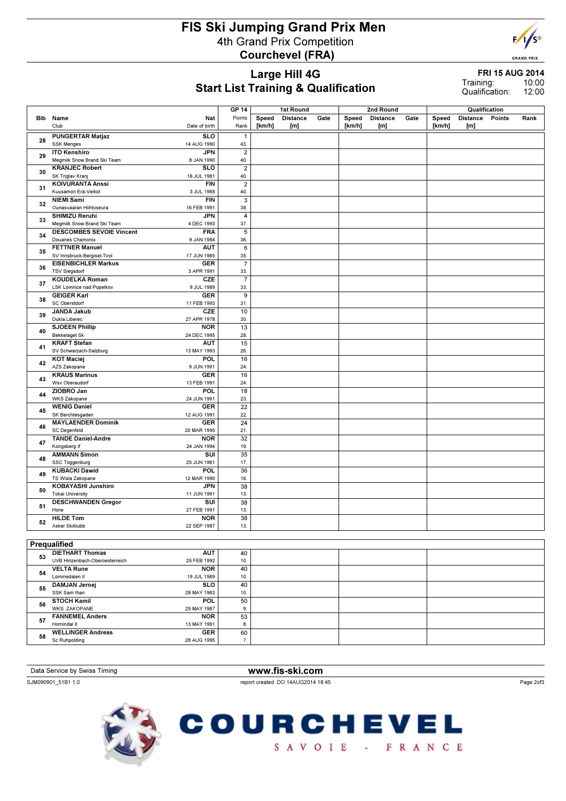## FIS Ski Jumping Grand Prix Men 4th Grand Prix Competition Courchevel (FRA)



**GRAND PRIX** 

#### Large Hill 4G Start List Training & Qualification

FRI 15 AUG 2014 10:00

12:00 Training: Qualification:

|    |                                                                                       | <b>GP 14</b>          | 1st Round |                 |      | 2nd Round |                 |      |        |                                  |        |      |
|----|---------------------------------------------------------------------------------------|-----------------------|-----------|-----------------|------|-----------|-----------------|------|--------|----------------------------------|--------|------|
|    | <b>Bib</b> Name<br>Nat                                                                | Points                | Speed     | <b>Distance</b> | Gate | Speed     | <b>Distance</b> | Gate | Speed  | Qualification<br><b>Distance</b> | Points | Rank |
|    | Club<br>Date of birth                                                                 | Rank                  | [km/h]    | [m]             |      | [km/h]    | [m]             |      | [km/h] | [m]                              |        |      |
|    | <b>SLO</b><br><b>PUNGERTAR Matjaz</b>                                                 | $\mathbf{1}$          |           |                 |      |           |                 |      |        |                                  |        |      |
| 28 | <b>SSK Menges</b><br>14 AUG 1990                                                      | 43.                   |           |                 |      |           |                 |      |        |                                  |        |      |
|    | <b>JPN</b><br><b>ITO Kenshiro</b>                                                     | $\overline{2}$        |           |                 |      |           |                 |      |        |                                  |        |      |
| 29 | Megmilk Snow Brand Ski Team<br>8 JAN 1990                                             | 40.                   |           |                 |      |           |                 |      |        |                                  |        |      |
| 30 | <b>KRANJEC Robert</b><br><b>SLO</b>                                                   | $\overline{2}$        |           |                 |      |           |                 |      |        |                                  |        |      |
|    | SK Triglav Kranj<br>16 JUL 1981                                                       | 40.                   |           |                 |      |           |                 |      |        |                                  |        |      |
| 31 | <b>KOIVURANTA Anssi</b><br><b>FIN</b>                                                 | $\boldsymbol{2}$      |           |                 |      |           |                 |      |        |                                  |        |      |
|    | Kuusamon Erä-Veikot<br>3 JUL 1988                                                     | 40.                   |           |                 |      |           |                 |      |        |                                  |        |      |
| 32 | <b>NIEMI Sami</b><br><b>FIN</b><br>Ounasvaaran Hiihtoseura<br>16 FEB 1991             | 3<br>38.              |           |                 |      |           |                 |      |        |                                  |        |      |
|    | <b>SHIMIZU Reruhi</b><br><b>JPN</b>                                                   | 4                     |           |                 |      |           |                 |      |        |                                  |        |      |
| 33 | Megmilk Snow Brand Ski Team<br>4 DEC 1993                                             | 37.                   |           |                 |      |           |                 |      |        |                                  |        |      |
|    | <b>FRA</b><br><b>DESCOMBES SEVOIE Vincent</b>                                         | 5                     |           |                 |      |           |                 |      |        |                                  |        |      |
| 34 | Douanes Chamonix<br>9 JAN 1984                                                        | 36.                   |           |                 |      |           |                 |      |        |                                  |        |      |
| 35 | <b>FETTNER Manuel</b><br><b>AUT</b>                                                   | 6                     |           |                 |      |           |                 |      |        |                                  |        |      |
|    | SV Innsbruck-Bergisel-Tirol<br>17 JUN 1985                                            | 35.                   |           |                 |      |           |                 |      |        |                                  |        |      |
| 36 | <b>EISENBICHLER Markus</b><br><b>GER</b>                                              | $\overline{7}$        |           |                 |      |           |                 |      |        |                                  |        |      |
|    | <b>TSV Siegsdorf</b><br>3 APR 1991<br>CZE                                             | 33.<br>$\overline{7}$ |           |                 |      |           |                 |      |        |                                  |        |      |
| 37 | <b>KOUDELKA Roman</b><br><b>LSK Lomnice nad Popelkov</b><br>9 JUL 1989                | 33.                   |           |                 |      |           |                 |      |        |                                  |        |      |
|    | <b>GEIGER Karl</b><br><b>GER</b>                                                      | 9                     |           |                 |      |           |                 |      |        |                                  |        |      |
| 38 | SC Oberstdorf<br>11 FEB 1993                                                          | 31.                   |           |                 |      |           |                 |      |        |                                  |        |      |
|    | CZE<br><b>JANDA Jakub</b>                                                             | 10                    |           |                 |      |           |                 |      |        |                                  |        |      |
| 39 | Dukla Liberec<br>27 APR 1978                                                          | 30.                   |           |                 |      |           |                 |      |        |                                  |        |      |
| 40 | <b>SJOEEN Phillip</b><br><b>NOR</b>                                                   | $\overline{13}$       |           |                 |      |           |                 |      |        |                                  |        |      |
|    | <b>Bekkelaget Sk</b><br>24 DEC 1995                                                   | 28.                   |           |                 |      |           |                 |      |        |                                  |        |      |
| 41 | <b>KRAFT Stefan</b><br><b>AUT</b>                                                     | 15<br>26.             |           |                 |      |           |                 |      |        |                                  |        |      |
|    | SV Schwarzach-Salzburg<br>13 MAY 1993<br><b>KOT Maciej</b><br>POL                     | 16                    |           |                 |      |           |                 |      |        |                                  |        |      |
| 42 | AZS Zakopane<br>9 JUN 1991                                                            | 24.                   |           |                 |      |           |                 |      |        |                                  |        |      |
|    | <b>KRAUS Marinus</b><br><b>GER</b>                                                    | 16                    |           |                 |      |           |                 |      |        |                                  |        |      |
| 43 | Wsv Oberaudorf<br>13 FEB 1991                                                         | 24.                   |           |                 |      |           |                 |      |        |                                  |        |      |
| 44 | ZIOBRO Jan<br><b>POL</b>                                                              | 18                    |           |                 |      |           |                 |      |        |                                  |        |      |
|    | WKS Zakopane<br>24 JUN 1991<br><b>WENIG Daniel</b>                                    | 23.                   |           |                 |      |           |                 |      |        |                                  |        |      |
| 45 | <b>GER</b><br>SK Berchtesgaden<br>12 AUG 1991                                         | 22<br>22.             |           |                 |      |           |                 |      |        |                                  |        |      |
|    | <b>MAYLAENDER Dominik</b><br><b>GER</b>                                               | 24                    |           |                 |      |           |                 |      |        |                                  |        |      |
| 46 | <b>SC Degenfeld</b><br>20 MAR 1995                                                    | 21.                   |           |                 |      |           |                 |      |        |                                  |        |      |
| 47 | <b>TANDE Daniel-Andre</b><br><b>NOR</b>                                               | 32                    |           |                 |      |           |                 |      |        |                                  |        |      |
|    | Kongsberg If<br>24 JAN 1994                                                           | 19.                   |           |                 |      |           |                 |      |        |                                  |        |      |
| 48 | <b>AMMANN Simon</b><br>SUI                                                            | 35                    |           |                 |      |           |                 |      |        |                                  |        |      |
|    | SSC Toggenburg<br>25 JUN 1981                                                         | 17.                   |           |                 |      |           |                 |      |        |                                  |        |      |
| 49 | <b>KUBACKI Dawid</b><br>POL<br>TS Wisla Zakopane<br>12 MAR 1990                       | 36<br>16.             |           |                 |      |           |                 |      |        |                                  |        |      |
|    | <b>KOBAYASHI Junshiro</b><br><b>JPN</b>                                               | 38                    |           |                 |      |           |                 |      |        |                                  |        |      |
| 50 | <b>Tokai University</b><br>11 JUN 1991                                                | 13.                   |           |                 |      |           |                 |      |        |                                  |        |      |
| 51 | <b>DESCHWANDEN Gregor</b><br>SUI                                                      | 38                    |           |                 |      |           |                 |      |        |                                  |        |      |
|    | 27 FEB 1991<br>Horw                                                                   | 13.                   |           |                 |      |           |                 |      |        |                                  |        |      |
| 52 | <b>HILDE Tom</b><br><b>NOR</b>                                                        | $\overline{38}$       |           |                 |      |           |                 |      |        |                                  |        |      |
|    | Asker Skiklubb<br>22 SEP 1987                                                         | 13.                   |           |                 |      |           |                 |      |        |                                  |        |      |
|    |                                                                                       |                       |           |                 |      |           |                 |      |        |                                  |        |      |
|    | Prequalified                                                                          |                       |           |                 |      |           |                 |      |        |                                  |        |      |
| 53 | <b>DIETHART Thomas</b><br><b>AUT</b><br>UVB Hinzenbach-Oberoesterreich<br>25 FEB 1992 | 40<br>10.             |           |                 |      |           |                 |      |        |                                  |        |      |
|    | <b>VELTA Rune</b><br><b>NOR</b>                                                       | 40                    |           |                 |      |           |                 |      |        |                                  |        |      |
| 54 | Lommedalen II<br>19 JUL 1989                                                          | 10.                   |           |                 |      |           |                 |      |        |                                  |        |      |
| 55 | <b>DAMJAN Jernej</b><br><b>SLO</b>                                                    | 40                    |           |                 |      |           |                 |      |        |                                  |        |      |
|    | SSK Sam Ihan<br>28 MAY 1983                                                           | 10.                   |           |                 |      |           |                 |      |        |                                  |        |      |
| 56 | <b>STOCH Kamil</b><br>POL                                                             | 50                    |           |                 |      |           |                 |      |        |                                  |        |      |
|    | <b>WKS ZAKOPANE</b><br>25 MAY 1987                                                    | 9.                    |           |                 |      |           |                 |      |        |                                  |        |      |
| 57 | <b>FANNEMEL Anders</b><br><b>NOR</b><br>Hornindal II<br>13 MAY 1991                   | 53<br>8.              |           |                 |      |           |                 |      |        |                                  |        |      |
|    | <b>WELLINGER Andreas</b><br><b>GER</b>                                                | 60                    |           |                 |      |           |                 |      |        |                                  |        |      |
| 58 | Sc Ruhpolding<br>28 AUG 1995                                                          | 7.                    |           |                 |      |           |                 |      |        |                                  |        |      |

Data Service by Swiss Timing WWW.fis-ski.com SJM090901\_51B1 1.0 report created DO 14AUG2014 18:45 Page 2of3